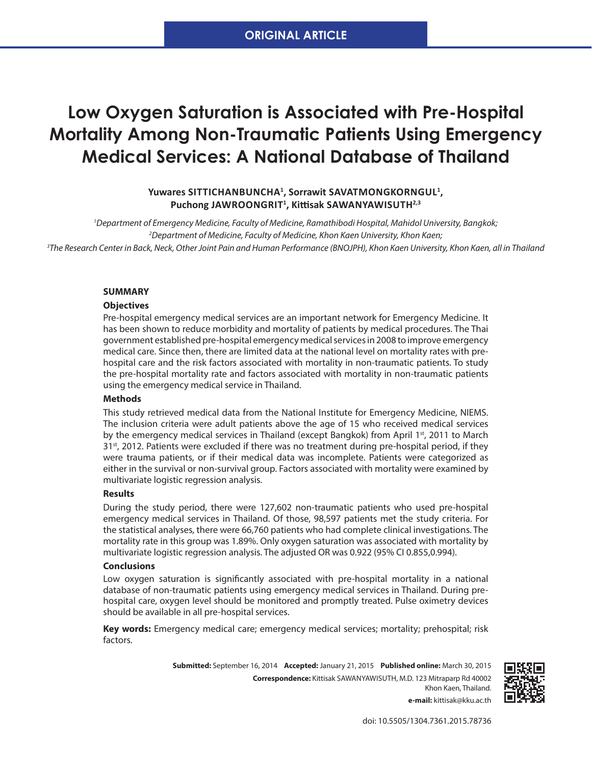# **Low Oxygen Saturation is Associated with Pre-Hospital Mortality Among Non-Traumatic Patients Using Emergency Medical Services: A National Database of Thailand**

## **Yuwares SIttIchanbuncha1 , Sorrawit Savatmongkorngul1 , Puchong JawroongrIt1 , Kittisak SawanyawIsuth2,3**

*1 Department of Emergency Medicine, Faculty of Medicine, Ramathibodi Hospital, Mahidol University, Bangkok; 2 Department of Medicine, Faculty of Medicine, Khon Kaen University, Khon Kaen; 3 The Research Center in Back, Neck, Other Joint Pain and Human Performance (BNOJPH), Khon Kaen University, Khon Kaen, all in Thailand*

#### **SUMMARY**

## **Objectives**

Pre-hospital emergency medical services are an important network for Emergency Medicine. It has been shown to reduce morbidity and mortality of patients by medical procedures. The Thai government established pre-hospital emergency medical services in 2008 to improve emergency medical care. Since then, there are limited data at the national level on mortality rates with prehospital care and the risk factors associated with mortality in non-traumatic patients. To study the pre-hospital mortality rate and factors associated with mortality in non-traumatic patients using the emergency medical service in Thailand.

#### **Methods**

This study retrieved medical data from the National Institute for Emergency Medicine, NIEMS. The inclusion criteria were adult patients above the age of 15 who received medical services by the emergency medical services in Thailand (except Bangkok) from April 1<sup>st</sup>, 2011 to March 31<sup>st</sup>, 2012. Patients were excluded if there was no treatment during pre-hospital period, if they were trauma patients, or if their medical data was incomplete. Patients were categorized as either in the survival or non-survival group. Factors associated with mortality were examined by multivariate logistic regression analysis.

#### **Results**

During the study period, there were 127,602 non-traumatic patients who used pre-hospital emergency medical services in Thailand. Of those, 98,597 patients met the study criteria. For the statistical analyses, there were 66,760 patients who had complete clinical investigations. The mortality rate in this group was 1.89%. Only oxygen saturation was associated with mortality by multivariate logistic regression analysis. The adjusted OR was 0.922 (95% CI 0.855,0.994).

#### **Conclusions**

Low oxygen saturation is significantly associated with pre-hospital mortality in a national database of non-traumatic patients using emergency medical services in Thailand. During prehospital care, oxygen level should be monitored and promptly treated. Pulse oximetry devices should be available in all pre-hospital services.

**Key words:** Emergency medical care; emergency medical services; mortality; prehospital; risk factors.

> **Submitted:** September 16, 2014 **Accepted:** January 21, 2015 **Published online:** March 30, 2015 **Correspondence:** Kittisak Sawanyawisuth, M.D. 123 Mitraparp Rd 40002 Khon Kaen, Thailand. **e-mail:** kittisak@kku.ac.th

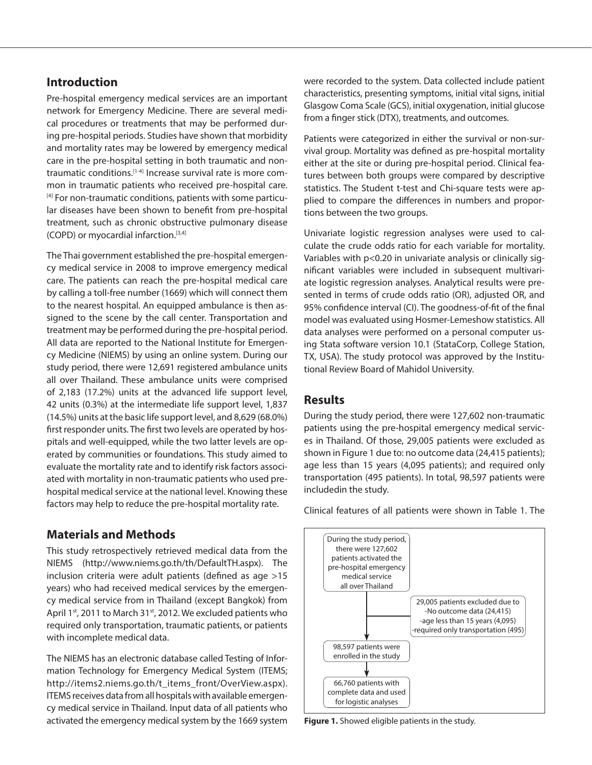## **Introduction**

Pre-hospital emergency medical services are an important network for Emergency Medicine. There are several medical procedures or treatments that may be performed during pre-hospital periods. Studies have shown that morbidity and mortality rates may be lowered by emergency medical care in the pre-hospital setting in both traumatic and nontraumatic conditions.[1-4] Increase survival rate is more common in traumatic patients who received pre-hospital care. [4] For non-traumatic conditions, patients with some particular diseases have been shown to benefit from pre-hospital treatment, such as chronic obstructive pulmonary disease (COPD) or myocardial infarction.[3,4]

The Thai government established the pre-hospital emergency medical service in 2008 to improve emergency medical care. The patients can reach the pre-hospital medical care by calling a toll-free number (1669) which will connect them to the nearest hospital. An equipped ambulance is then assigned to the scene by the call center. Transportation and treatment may be performed during the pre-hospital period. All data are reported to the National Institute for Emergency Medicine (NIEMS) by using an online system. During our study period, there were 12,691 registered ambulance units all over Thailand. These ambulance units were comprised of 2,183 (17.2%) units at the advanced life support level, 42 units (0.3%) at the intermediate life support level, 1,837 (14.5%) units at the basic life support level, and 8,629 (68.0%) first responder units. The first two levels are operated by hospitals and well-equipped, while the two latter levels are operated by communities or foundations. This study aimed to evaluate the mortality rate and to identify risk factors associated with mortality in non-traumatic patients who used prehospital medical service at the national level. Knowing these factors may help to reduce the pre-hospital mortality rate.

# **Materials and Methods**

This study retrospectively retrieved medical data from the NIEMS (http://www.niems.go.th/th/DefaultTH.aspx). The inclusion criteria were adult patients (defined as age >15 years) who had received medical services by the emergency medical service from in Thailand (except Bangkok) from April 1st, 2011 to March 31st, 2012. We excluded patients who required only transportation, traumatic patients, or patients with incomplete medical data.

The NIEMS has an electronic database called Testing of Information Technology for Emergency Medical System (ITEMS; http://items2.niems.go.th/t\_items\_front/OverView.aspx). ITEMS receives data from all hospitals with available emergency medical service in Thailand. Input data of all patients who activated the emergency medical system by the 1669 system

were recorded to the system. Data collected include patient characteristics, presenting symptoms, initial vital signs, initial Glasgow Coma Scale (GCS), initial oxygenation, initial glucose from a finger stick (DTX), treatments, and outcomes.

Patients were categorized in either the survival or non-survival group. Mortality was defined as pre-hospital mortality either at the site or during pre-hospital period. Clinical features between both groups were compared by descriptive statistics. The Student t-test and Chi-square tests were applied to compare the differences in numbers and proportions between the two groups.

Univariate logistic regression analyses were used to calculate the crude odds ratio for each variable for mortality. Variables with p<0.20 in univariate analysis or clinically significant variables were included in subsequent multivariate logistic regression analyses. Analytical results were presented in terms of crude odds ratio (OR), adjusted OR, and 95% confidence interval (CI). The goodness-of-fit of the final model was evaluated using Hosmer-Lemeshow statistics. All data analyses were performed on a personal computer using Stata software version 10.1 (StataCorp, College Station, TX, USA). The study protocol was approved by the Institutional Review Board of Mahidol University.

## **Results**

During the study period, there were 127,602 non-traumatic patients using the pre-hospital emergency medical services in Thailand. Of those, 29,005 patients were excluded as shown in Figure 1 due to: no outcome data (24,415 patients); age less than 15 years (4,095 patients); and required only transportation (495 patients). In total, 98,597 patients were includedin the study.

Clinical features of all patients were shown in Table 1. The



**Figure 1.** Showed eligible patients in the study.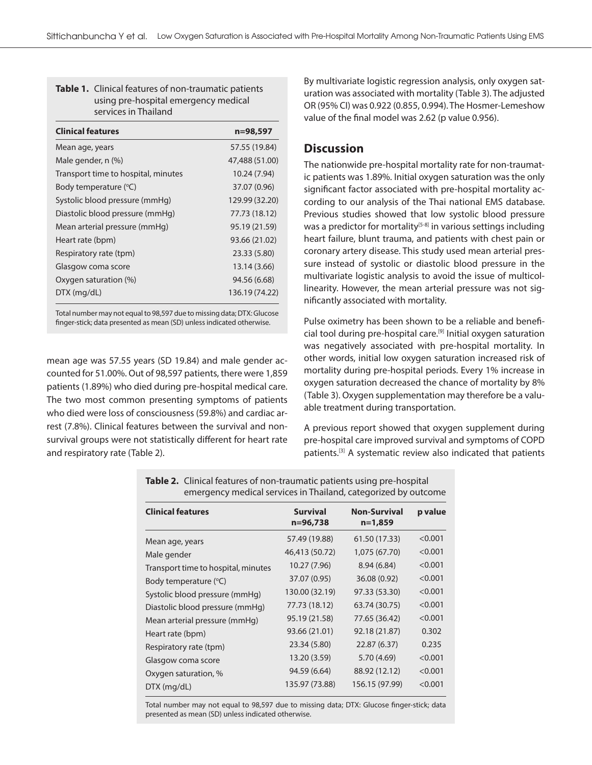#### **Table 1.** Clinical features of non-traumatic patients using pre-hospital emergency medical services in Thailand

| <b>Clinical features</b>            | n=98,597       |
|-------------------------------------|----------------|
| Mean age, years                     | 57.55 (19.84)  |
| Male gender, n (%)                  | 47,488 (51.00) |
| Transport time to hospital, minutes | 10.24 (7.94)   |
| Body temperature (°C)               | 37.07 (0.96)   |
| Systolic blood pressure (mmHq)      | 129.99 (32.20) |
| Diastolic blood pressure (mmHq)     | 77.73 (18.12)  |
| Mean arterial pressure (mmHq)       | 95.19 (21.59)  |
| Heart rate (bpm)                    | 93.66 (21.02)  |
| Respiratory rate (tpm)              | 23.33 (5.80)   |
| Glasgow coma score                  | 13.14 (3.66)   |
| Oxygen saturation (%)               | 94.56 (6.68)   |
| $DTX$ (mg/dL)                       | 136.19 (74.22) |

Total number may not equal to 98,597 due to missing data; DTX: Glucose finger-stick; data presented as mean (SD) unless indicated otherwise.

mean age was 57.55 years (SD 19.84) and male gender accounted for 51.00%. Out of 98,597 patients, there were 1,859 patients (1.89%) who died during pre-hospital medical care. The two most common presenting symptoms of patients who died were loss of consciousness (59.8%) and cardiac arrest (7.8%). Clinical features between the survival and nonsurvival groups were not statistically different for heart rate and respiratory rate (Table 2).

By multivariate logistic regression analysis, only oxygen saturation was associated with mortality (Table 3). The adjusted OR (95% CI) was 0.922 (0.855, 0.994). The Hosmer-Lemeshow value of the final model was 2.62 (p value 0.956).

## **Discussion**

The nationwide pre-hospital mortality rate for non-traumatic patients was 1.89%. Initial oxygen saturation was the only significant factor associated with pre-hospital mortality according to our analysis of the Thai national EMS database. Previous studies showed that low systolic blood pressure was a predictor for mortality<sup>[5-8]</sup> in various settings including heart failure, blunt trauma, and patients with chest pain or coronary artery disease. This study used mean arterial pressure instead of systolic or diastolic blood pressure in the multivariate logistic analysis to avoid the issue of multicollinearity. However, the mean arterial pressure was not significantly associated with mortality.

Pulse oximetry has been shown to be a reliable and beneficial tool during pre-hospital care.<sup>[9]</sup> Initial oxygen saturation was negatively associated with pre-hospital mortality. In other words, initial low oxygen saturation increased risk of mortality during pre-hospital periods. Every 1% increase in oxygen saturation decreased the chance of mortality by 8% (Table 3). Oxygen supplementation may therefore be a valuable treatment during transportation.

A previous report showed that oxygen supplement during pre-hospital care improved survival and symptoms of COPD patients.[3] A systematic review also indicated that patients

| <b>Clinical features</b>            | <b>Survival</b><br>n=96,738 | <b>Non-Survival</b><br>n=1,859 | p value |
|-------------------------------------|-----------------------------|--------------------------------|---------|
| Mean age, years                     | 57.49 (19.88)               | 61.50 (17.33)                  | < 0.001 |
| Male gender                         | 46,413 (50.72)              | 1,075 (67.70)                  | < 0.001 |
| Transport time to hospital, minutes | 10.27 (7.96)                | 8.94(6.84)                     | < 0.001 |
| Body temperature (°C)               | 37.07 (0.95)                | 36.08 (0.92)                   | < 0.001 |
| Systolic blood pressure (mmHg)      | 130.00 (32.19)              | 97.33 (53.30)                  | < 0.001 |
| Diastolic blood pressure (mmHq)     | 77.73 (18.12)               | 63.74 (30.75)                  | < 0.001 |
| Mean arterial pressure (mmHq)       | 95.19 (21.58)               | 77.65 (36.42)                  | < 0.001 |
| Heart rate (bpm)                    | 93.66 (21.01)               | 92.18 (21.87)                  | 0.302   |
| Respiratory rate (tpm)              | 23.34 (5.80)                | 22.87 (6.37)                   | 0.235   |
| Glasgow coma score                  | 13.20 (3.59)                | 5.70 (4.69)                    | < 0.001 |
| Oxygen saturation, %                | 94.59 (6.64)                | 88.92 (12.12)                  | < 0.001 |
| DTX (mg/dL)                         | 135.97 (73.88)              | 156.15 (97.99)                 | < 0.001 |

**Table 2.** Clinical features of non-traumatic patients using pre-hospital emergency medical services in Thailand, categorized by outcome

Total number may not equal to 98,597 due to missing data; DTX: Glucose finger-stick; data presented as mean (SD) unless indicated otherwise.